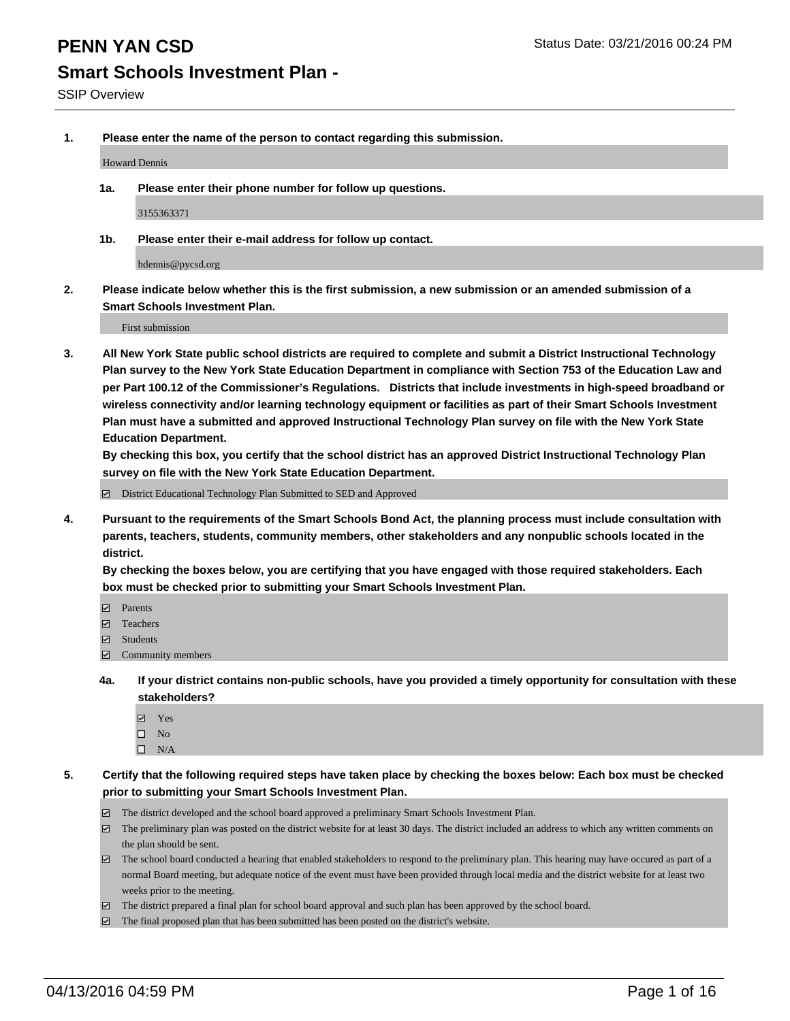**1. Please enter the name of the person to contact regarding this submission.**

Howard Dennis

**1a. Please enter their phone number for follow up questions.**

3155363371

**1b. Please enter their e-mail address for follow up contact.**

hdennis@pycsd.org

**2. Please indicate below whether this is the first submission, a new submission or an amended submission of a Smart Schools Investment Plan.**

First submission

**3. All New York State public school districts are required to complete and submit a District Instructional Technology Plan survey to the New York State Education Department in compliance with Section 753 of the Education Law and per Part 100.12 of the Commissioner's Regulations. Districts that include investments in high-speed broadband or wireless connectivity and/or learning technology equipment or facilities as part of their Smart Schools Investment Plan must have a submitted and approved Instructional Technology Plan survey on file with the New York State Education Department.** 

**By checking this box, you certify that the school district has an approved District Instructional Technology Plan survey on file with the New York State Education Department.**

■ District Educational Technology Plan Submitted to SED and Approved

**4. Pursuant to the requirements of the Smart Schools Bond Act, the planning process must include consultation with parents, teachers, students, community members, other stakeholders and any nonpublic schools located in the district.** 

**By checking the boxes below, you are certifying that you have engaged with those required stakeholders. Each box must be checked prior to submitting your Smart Schools Investment Plan.**

- **Parents**
- □ Teachers
- Students
- $\boxdot$  Community members
- **4a. If your district contains non-public schools, have you provided a timely opportunity for consultation with these stakeholders?**
	- Yes
	- $\square$  No
	- $\Box$  N/A
- **5. Certify that the following required steps have taken place by checking the boxes below: Each box must be checked prior to submitting your Smart Schools Investment Plan.**
	- The district developed and the school board approved a preliminary Smart Schools Investment Plan.
	- The preliminary plan was posted on the district website for at least 30 days. The district included an address to which any written comments on the plan should be sent.
	- $\Box$  The school board conducted a hearing that enabled stakeholders to respond to the preliminary plan. This hearing may have occured as part of a normal Board meeting, but adequate notice of the event must have been provided through local media and the district website for at least two weeks prior to the meeting.
	- The district prepared a final plan for school board approval and such plan has been approved by the school board.
	- The final proposed plan that has been submitted has been posted on the district's website.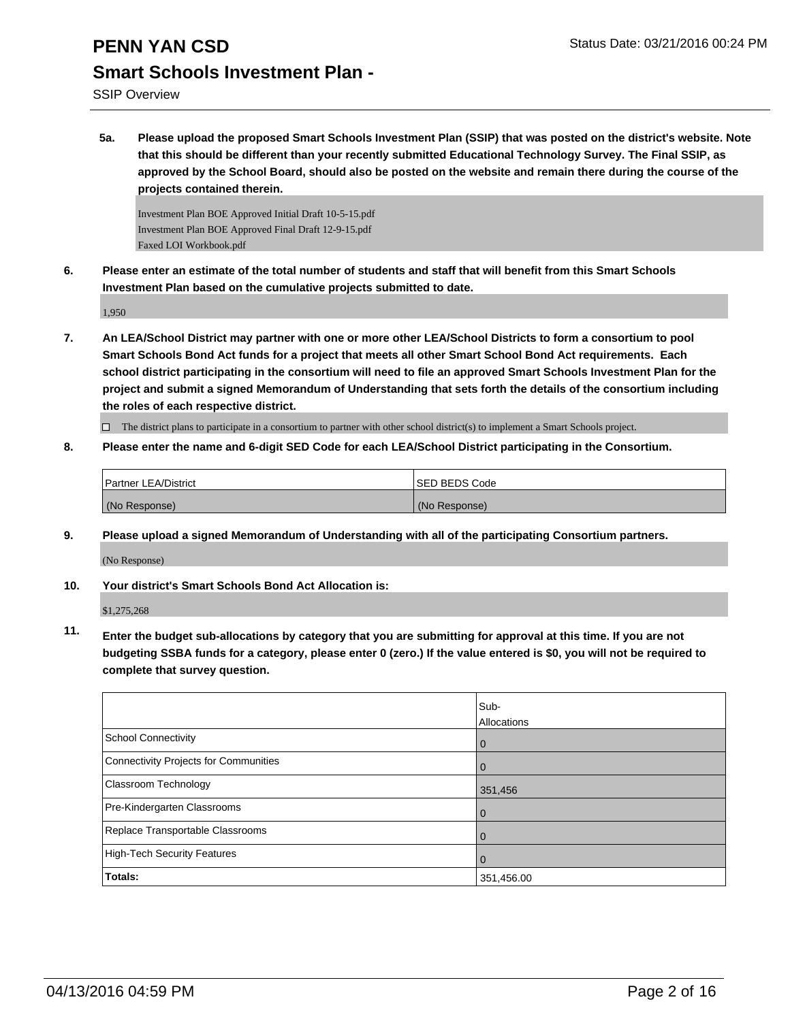SSIP Overview

**5a. Please upload the proposed Smart Schools Investment Plan (SSIP) that was posted on the district's website. Note that this should be different than your recently submitted Educational Technology Survey. The Final SSIP, as approved by the School Board, should also be posted on the website and remain there during the course of the projects contained therein.**

Investment Plan BOE Approved Initial Draft 10-5-15.pdf Investment Plan BOE Approved Final Draft 12-9-15.pdf Faxed LOI Workbook.pdf

**6. Please enter an estimate of the total number of students and staff that will benefit from this Smart Schools Investment Plan based on the cumulative projects submitted to date.**

1,950

**7. An LEA/School District may partner with one or more other LEA/School Districts to form a consortium to pool Smart Schools Bond Act funds for a project that meets all other Smart School Bond Act requirements. Each school district participating in the consortium will need to file an approved Smart Schools Investment Plan for the project and submit a signed Memorandum of Understanding that sets forth the details of the consortium including the roles of each respective district.**

 $\Box$  The district plans to participate in a consortium to partner with other school district(s) to implement a Smart Schools project.

**8. Please enter the name and 6-digit SED Code for each LEA/School District participating in the Consortium.**

| <b>Partner LEA/District</b> | <b>ISED BEDS Code</b> |
|-----------------------------|-----------------------|
| (No Response)               | (No Response)         |

**9. Please upload a signed Memorandum of Understanding with all of the participating Consortium partners.**

(No Response)

**10. Your district's Smart Schools Bond Act Allocation is:**

\$1,275,268

**11. Enter the budget sub-allocations by category that you are submitting for approval at this time. If you are not budgeting SSBA funds for a category, please enter 0 (zero.) If the value entered is \$0, you will not be required to complete that survey question.**

|                                       | Sub-<br>Allocations |
|---------------------------------------|---------------------|
| School Connectivity                   | U                   |
| Connectivity Projects for Communities |                     |
| <b>Classroom Technology</b>           | 351,456             |
| Pre-Kindergarten Classrooms           | 0                   |
| Replace Transportable Classrooms      | U                   |
| High-Tech Security Features           |                     |
| Totals:                               | 351,456.00          |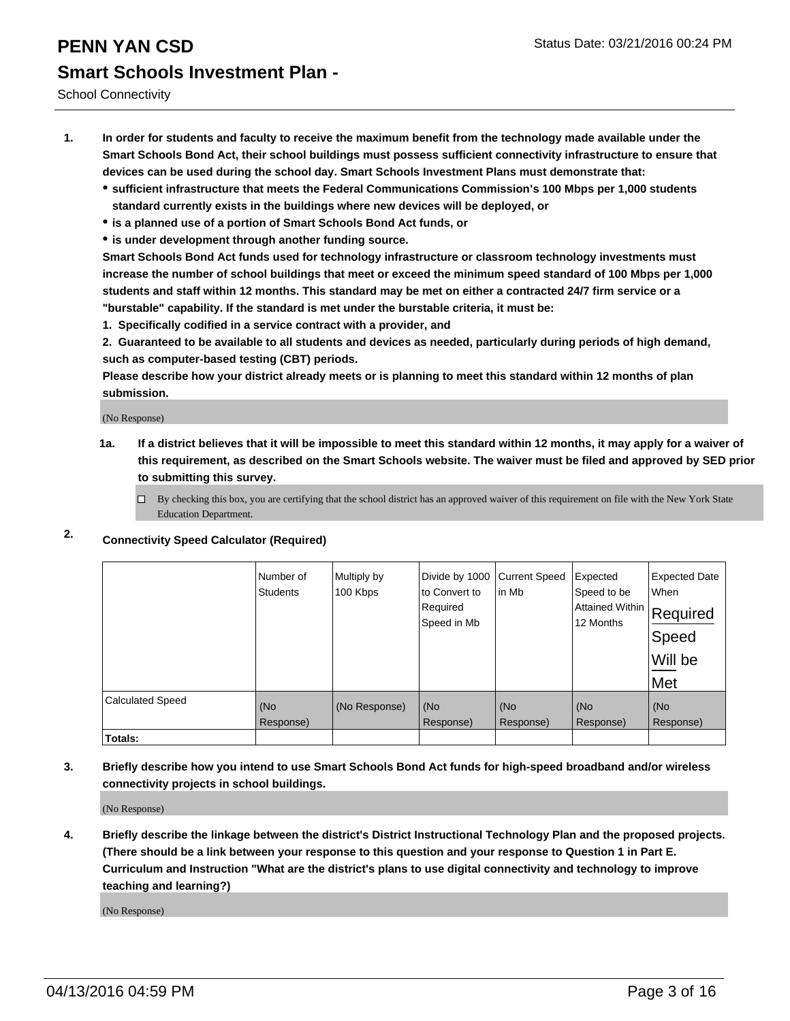School Connectivity

- **1. In order for students and faculty to receive the maximum benefit from the technology made available under the Smart Schools Bond Act, their school buildings must possess sufficient connectivity infrastructure to ensure that devices can be used during the school day. Smart Schools Investment Plans must demonstrate that:**
	- **sufficient infrastructure that meets the Federal Communications Commission's 100 Mbps per 1,000 students standard currently exists in the buildings where new devices will be deployed, or**
	- **is a planned use of a portion of Smart Schools Bond Act funds, or**
	- **is under development through another funding source.**

**Smart Schools Bond Act funds used for technology infrastructure or classroom technology investments must increase the number of school buildings that meet or exceed the minimum speed standard of 100 Mbps per 1,000 students and staff within 12 months. This standard may be met on either a contracted 24/7 firm service or a "burstable" capability. If the standard is met under the burstable criteria, it must be:**

**1. Specifically codified in a service contract with a provider, and**

**2. Guaranteed to be available to all students and devices as needed, particularly during periods of high demand, such as computer-based testing (CBT) periods.**

**Please describe how your district already meets or is planning to meet this standard within 12 months of plan submission.**

(No Response)

- **1a. If a district believes that it will be impossible to meet this standard within 12 months, it may apply for a waiver of this requirement, as described on the Smart Schools website. The waiver must be filed and approved by SED prior to submitting this survey.**
	- □ By checking this box, you are certifying that the school district has an approved waiver of this requirement on file with the New York State Education Department.
- **2. Connectivity Speed Calculator (Required)**

|                         | Number of<br><b>Students</b> | Multiply by<br>100 Kbps | Divide by 1000<br>to Convert to<br>Required<br>Speed in Mb | <b>Current Speed</b><br>in Mb | Expected<br>Speed to be<br>Attained Within<br>12 Months | <b>Expected Date</b><br>When<br>Required<br>Speed<br>Will be<br>Met |
|-------------------------|------------------------------|-------------------------|------------------------------------------------------------|-------------------------------|---------------------------------------------------------|---------------------------------------------------------------------|
| <b>Calculated Speed</b> | (No<br>Response)             | (No Response)           | (No<br>Response)                                           | (No<br>Response)              | (No<br>Response)                                        | (No<br>Response)                                                    |
| Totals:                 |                              |                         |                                                            |                               |                                                         |                                                                     |

**3. Briefly describe how you intend to use Smart Schools Bond Act funds for high-speed broadband and/or wireless connectivity projects in school buildings.**

(No Response)

**4. Briefly describe the linkage between the district's District Instructional Technology Plan and the proposed projects. (There should be a link between your response to this question and your response to Question 1 in Part E. Curriculum and Instruction "What are the district's plans to use digital connectivity and technology to improve teaching and learning?)**

(No Response)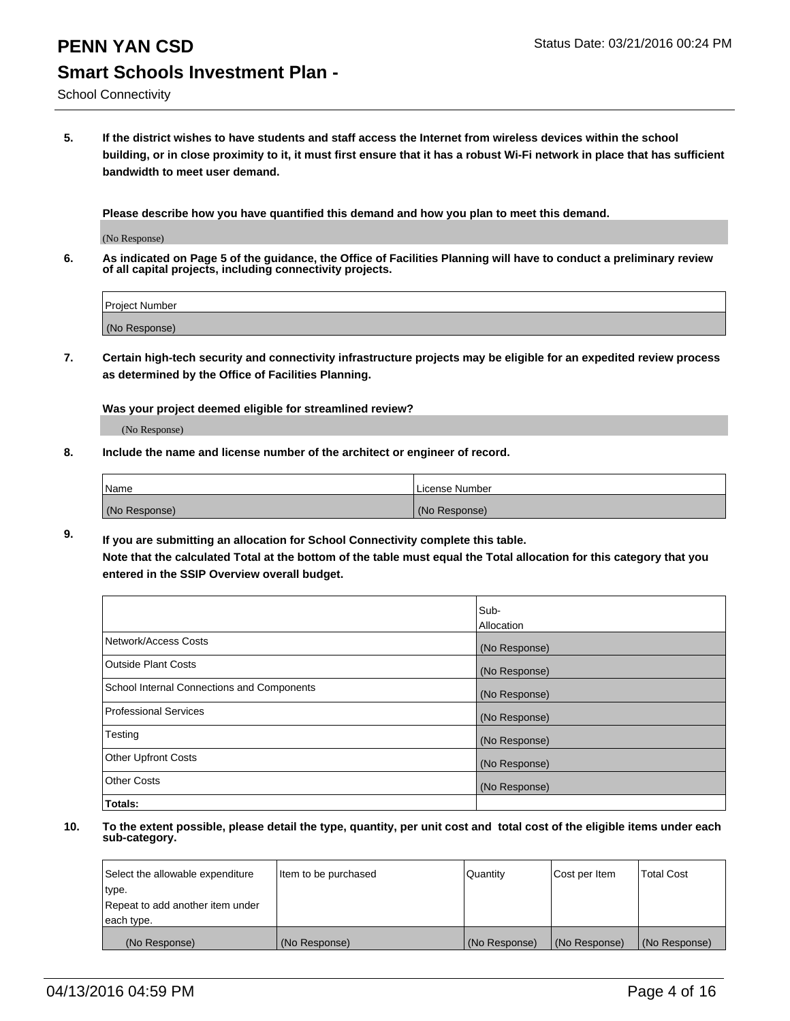School Connectivity

**5. If the district wishes to have students and staff access the Internet from wireless devices within the school building, or in close proximity to it, it must first ensure that it has a robust Wi-Fi network in place that has sufficient bandwidth to meet user demand.**

**Please describe how you have quantified this demand and how you plan to meet this demand.**

(No Response)

**6. As indicated on Page 5 of the guidance, the Office of Facilities Planning will have to conduct a preliminary review of all capital projects, including connectivity projects.**

| <b>Project Number</b> |  |
|-----------------------|--|
| (No Response)         |  |

**7. Certain high-tech security and connectivity infrastructure projects may be eligible for an expedited review process as determined by the Office of Facilities Planning.**

**Was your project deemed eligible for streamlined review?**

(No Response)

**8. Include the name and license number of the architect or engineer of record.**

| Name          | License Number |
|---------------|----------------|
| (No Response) | (No Response)  |

**9. If you are submitting an allocation for School Connectivity complete this table. Note that the calculated Total at the bottom of the table must equal the Total allocation for this category that you entered in the SSIP Overview overall budget.** 

|                                            | Sub-          |
|--------------------------------------------|---------------|
|                                            | Allocation    |
| Network/Access Costs                       | (No Response) |
| <b>Outside Plant Costs</b>                 | (No Response) |
| School Internal Connections and Components | (No Response) |
| <b>Professional Services</b>               | (No Response) |
| Testing                                    | (No Response) |
| <b>Other Upfront Costs</b>                 | (No Response) |
| <b>Other Costs</b>                         | (No Response) |
| Totals:                                    |               |

| Select the allowable expenditure | Item to be purchased | Quantity      | Cost per Item | <b>Total Cost</b> |
|----------------------------------|----------------------|---------------|---------------|-------------------|
| type.                            |                      |               |               |                   |
| Repeat to add another item under |                      |               |               |                   |
| each type.                       |                      |               |               |                   |
| (No Response)                    | (No Response)        | (No Response) | (No Response) | (No Response)     |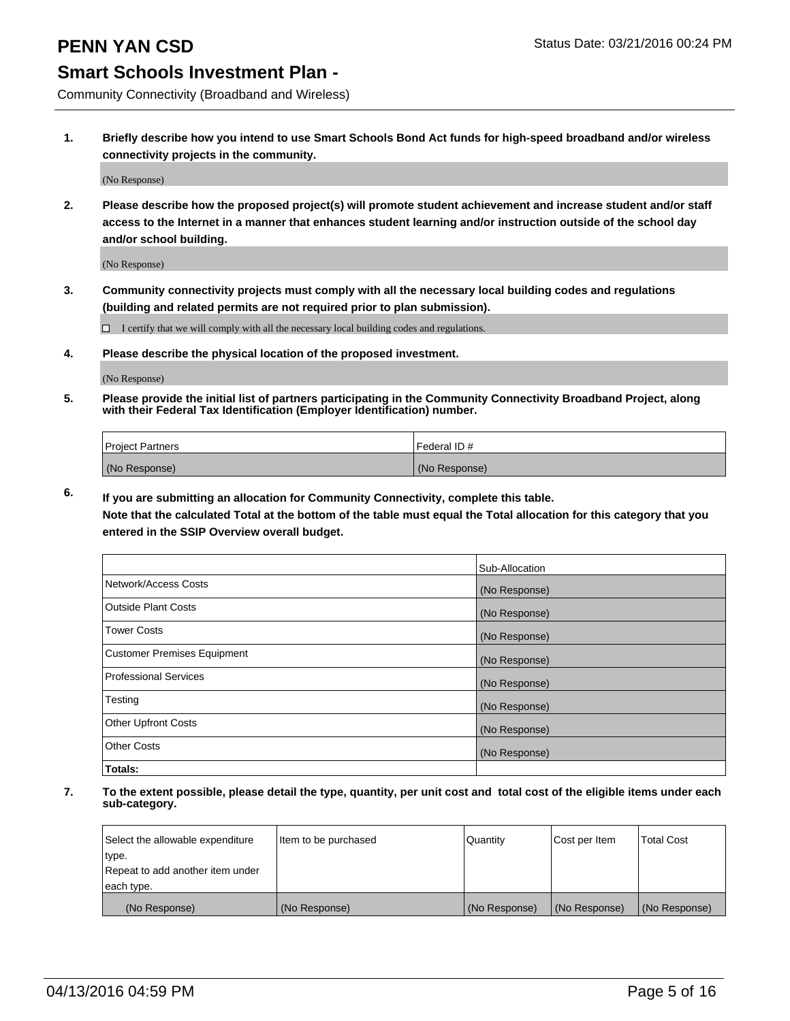Community Connectivity (Broadband and Wireless)

**1. Briefly describe how you intend to use Smart Schools Bond Act funds for high-speed broadband and/or wireless connectivity projects in the community.**

(No Response)

**2. Please describe how the proposed project(s) will promote student achievement and increase student and/or staff access to the Internet in a manner that enhances student learning and/or instruction outside of the school day and/or school building.**

(No Response)

**3. Community connectivity projects must comply with all the necessary local building codes and regulations (building and related permits are not required prior to plan submission).**

 $\Box$  I certify that we will comply with all the necessary local building codes and regulations.

**4. Please describe the physical location of the proposed investment.**

(No Response)

**5. Please provide the initial list of partners participating in the Community Connectivity Broadband Project, along with their Federal Tax Identification (Employer Identification) number.**

| <b>Project Partners</b> | I Federal ID # |
|-------------------------|----------------|
| (No Response)           | (No Response)  |

**6. If you are submitting an allocation for Community Connectivity, complete this table.**

**Note that the calculated Total at the bottom of the table must equal the Total allocation for this category that you entered in the SSIP Overview overall budget.**

|                                    | Sub-Allocation |
|------------------------------------|----------------|
| Network/Access Costs               | (No Response)  |
| Outside Plant Costs                | (No Response)  |
| <b>Tower Costs</b>                 | (No Response)  |
| <b>Customer Premises Equipment</b> | (No Response)  |
| Professional Services              | (No Response)  |
| Testing                            | (No Response)  |
| <b>Other Upfront Costs</b>         | (No Response)  |
| Other Costs                        | (No Response)  |
| Totals:                            |                |

| Select the allowable expenditure | Item to be purchased | l Quantitv    | Cost per Item | <b>Total Cost</b> |
|----------------------------------|----------------------|---------------|---------------|-------------------|
| type.                            |                      |               |               |                   |
| Repeat to add another item under |                      |               |               |                   |
| each type.                       |                      |               |               |                   |
| (No Response)                    | (No Response)        | (No Response) | (No Response) | (No Response)     |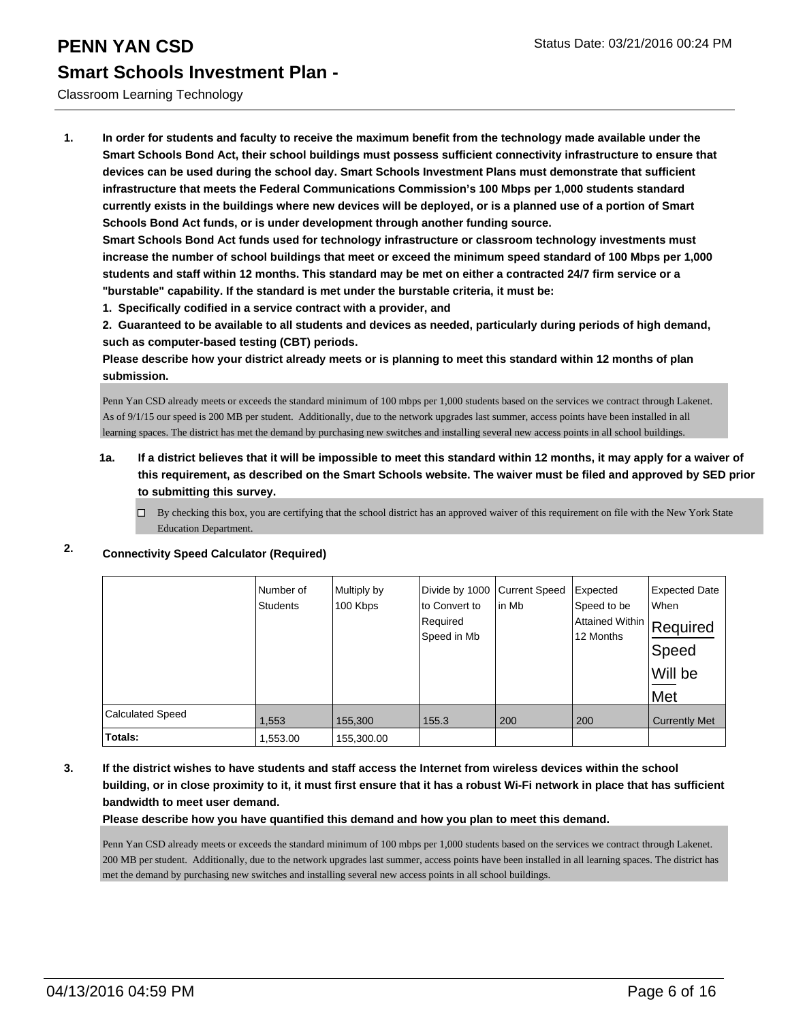#### Classroom Learning Technology

**1. In order for students and faculty to receive the maximum benefit from the technology made available under the Smart Schools Bond Act, their school buildings must possess sufficient connectivity infrastructure to ensure that devices can be used during the school day. Smart Schools Investment Plans must demonstrate that sufficient infrastructure that meets the Federal Communications Commission's 100 Mbps per 1,000 students standard currently exists in the buildings where new devices will be deployed, or is a planned use of a portion of Smart Schools Bond Act funds, or is under development through another funding source.**

**Smart Schools Bond Act funds used for technology infrastructure or classroom technology investments must increase the number of school buildings that meet or exceed the minimum speed standard of 100 Mbps per 1,000 students and staff within 12 months. This standard may be met on either a contracted 24/7 firm service or a "burstable" capability. If the standard is met under the burstable criteria, it must be:**

**1. Specifically codified in a service contract with a provider, and**

**2. Guaranteed to be available to all students and devices as needed, particularly during periods of high demand, such as computer-based testing (CBT) periods.**

**Please describe how your district already meets or is planning to meet this standard within 12 months of plan submission.**

Penn Yan CSD already meets or exceeds the standard minimum of 100 mbps per 1,000 students based on the services we contract through Lakenet. As of 9/1/15 our speed is 200 MB per student. Additionally, due to the network upgrades last summer, access points have been installed in all learning spaces. The district has met the demand by purchasing new switches and installing several new access points in all school buildings.

#### **1a. If a district believes that it will be impossible to meet this standard within 12 months, it may apply for a waiver of this requirement, as described on the Smart Schools website. The waiver must be filed and approved by SED prior to submitting this survey.**

 $\Box$  By checking this box, you are certifying that the school district has an approved waiver of this requirement on file with the New York State Education Department.

|                         | Number of<br><b>Students</b> | Multiply by<br>100 Kbps | Divide by 1000 Current Speed<br>lto Convert to<br>Required<br>Speed in Mb | In Mb | Expected<br>Speed to be<br>Attained Within   Required<br>12 Months | <b>Expected Date</b><br><b>When</b><br>Speed<br>Will be<br>Met |
|-------------------------|------------------------------|-------------------------|---------------------------------------------------------------------------|-------|--------------------------------------------------------------------|----------------------------------------------------------------|
| <b>Calculated Speed</b> | 1,553                        | 155,300                 | 155.3                                                                     | 200   | 200                                                                | <b>Currently Met</b>                                           |
| Totals:                 | 1,553.00                     | 155,300.00              |                                                                           |       |                                                                    |                                                                |

#### **2. Connectivity Speed Calculator (Required)**

**3. If the district wishes to have students and staff access the Internet from wireless devices within the school building, or in close proximity to it, it must first ensure that it has a robust Wi-Fi network in place that has sufficient bandwidth to meet user demand.**

**Please describe how you have quantified this demand and how you plan to meet this demand.**

Penn Yan CSD already meets or exceeds the standard minimum of 100 mbps per 1,000 students based on the services we contract through Lakenet. 200 MB per student. Additionally, due to the network upgrades last summer, access points have been installed in all learning spaces. The district has met the demand by purchasing new switches and installing several new access points in all school buildings.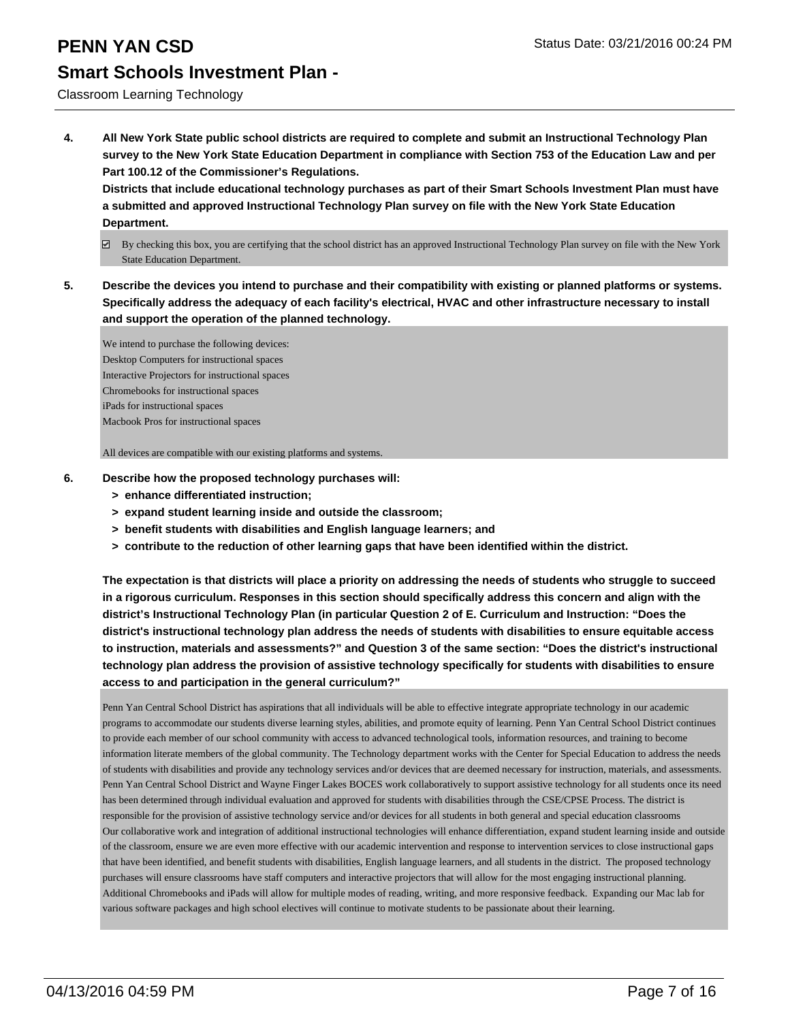#### **PENN YAN CSD Status Date: 03/21/2016 00:24 PM**

#### **Smart Schools Investment Plan -**

Classroom Learning Technology

**4. All New York State public school districts are required to complete and submit an Instructional Technology Plan survey to the New York State Education Department in compliance with Section 753 of the Education Law and per Part 100.12 of the Commissioner's Regulations.**

**Districts that include educational technology purchases as part of their Smart Schools Investment Plan must have a submitted and approved Instructional Technology Plan survey on file with the New York State Education Department.**

- $\boxtimes$  By checking this box, you are certifying that the school district has an approved Instructional Technology Plan survey on file with the New York State Education Department.
- **5. Describe the devices you intend to purchase and their compatibility with existing or planned platforms or systems. Specifically address the adequacy of each facility's electrical, HVAC and other infrastructure necessary to install and support the operation of the planned technology.**

We intend to purchase the following devices: Desktop Computers for instructional spaces Interactive Projectors for instructional spaces Chromebooks for instructional spaces iPads for instructional spaces Macbook Pros for instructional spaces

All devices are compatible with our existing platforms and systems.

- **6. Describe how the proposed technology purchases will:**
	- **> enhance differentiated instruction;**
	- **> expand student learning inside and outside the classroom;**
	- **> benefit students with disabilities and English language learners; and**
	- **> contribute to the reduction of other learning gaps that have been identified within the district.**

**The expectation is that districts will place a priority on addressing the needs of students who struggle to succeed in a rigorous curriculum. Responses in this section should specifically address this concern and align with the district's Instructional Technology Plan (in particular Question 2 of E. Curriculum and Instruction: "Does the district's instructional technology plan address the needs of students with disabilities to ensure equitable access to instruction, materials and assessments?" and Question 3 of the same section: "Does the district's instructional technology plan address the provision of assistive technology specifically for students with disabilities to ensure access to and participation in the general curriculum?"**

Penn Yan Central School District has aspirations that all individuals will be able to effective integrate appropriate technology in our academic programs to accommodate our students diverse learning styles, abilities, and promote equity of learning. Penn Yan Central School District continues to provide each member of our school community with access to advanced technological tools, information resources, and training to become information literate members of the global community. The Technology department works with the Center for Special Education to address the needs of students with disabilities and provide any technology services and/or devices that are deemed necessary for instruction, materials, and assessments. Penn Yan Central School District and Wayne Finger Lakes BOCES work collaboratively to support assistive technology for all students once its need has been determined through individual evaluation and approved for students with disabilities through the CSE/CPSE Process. The district is responsible for the provision of assistive technology service and/or devices for all students in both general and special education classrooms Our collaborative work and integration of additional instructional technologies will enhance differentiation, expand student learning inside and outside of the classroom, ensure we are even more effective with our academic intervention and response to intervention services to close instructional gaps that have been identified, and benefit students with disabilities, English language learners, and all students in the district. The proposed technology purchases will ensure classrooms have staff computers and interactive projectors that will allow for the most engaging instructional planning. Additional Chromebooks and iPads will allow for multiple modes of reading, writing, and more responsive feedback. Expanding our Mac lab for various software packages and high school electives will continue to motivate students to be passionate about their learning.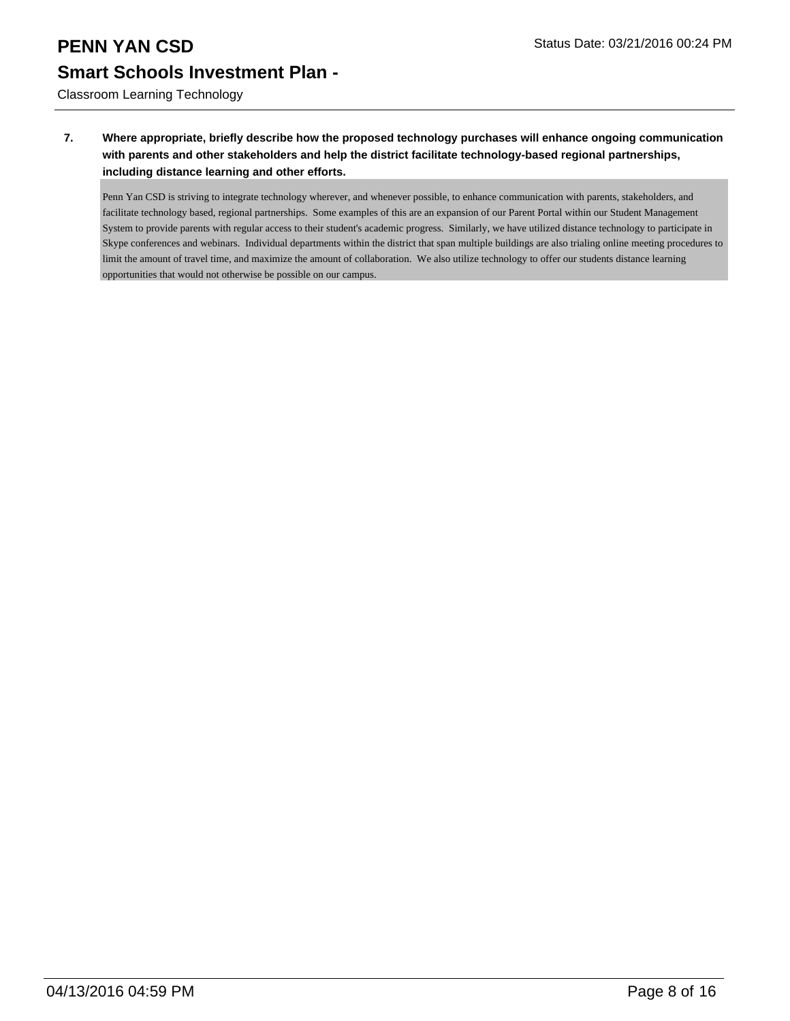Classroom Learning Technology

#### **7. Where appropriate, briefly describe how the proposed technology purchases will enhance ongoing communication with parents and other stakeholders and help the district facilitate technology-based regional partnerships, including distance learning and other efforts.**

Penn Yan CSD is striving to integrate technology wherever, and whenever possible, to enhance communication with parents, stakeholders, and facilitate technology based, regional partnerships. Some examples of this are an expansion of our Parent Portal within our Student Management System to provide parents with regular access to their student's academic progress. Similarly, we have utilized distance technology to participate in Skype conferences and webinars. Individual departments within the district that span multiple buildings are also trialing online meeting procedures to limit the amount of travel time, and maximize the amount of collaboration. We also utilize technology to offer our students distance learning opportunities that would not otherwise be possible on our campus.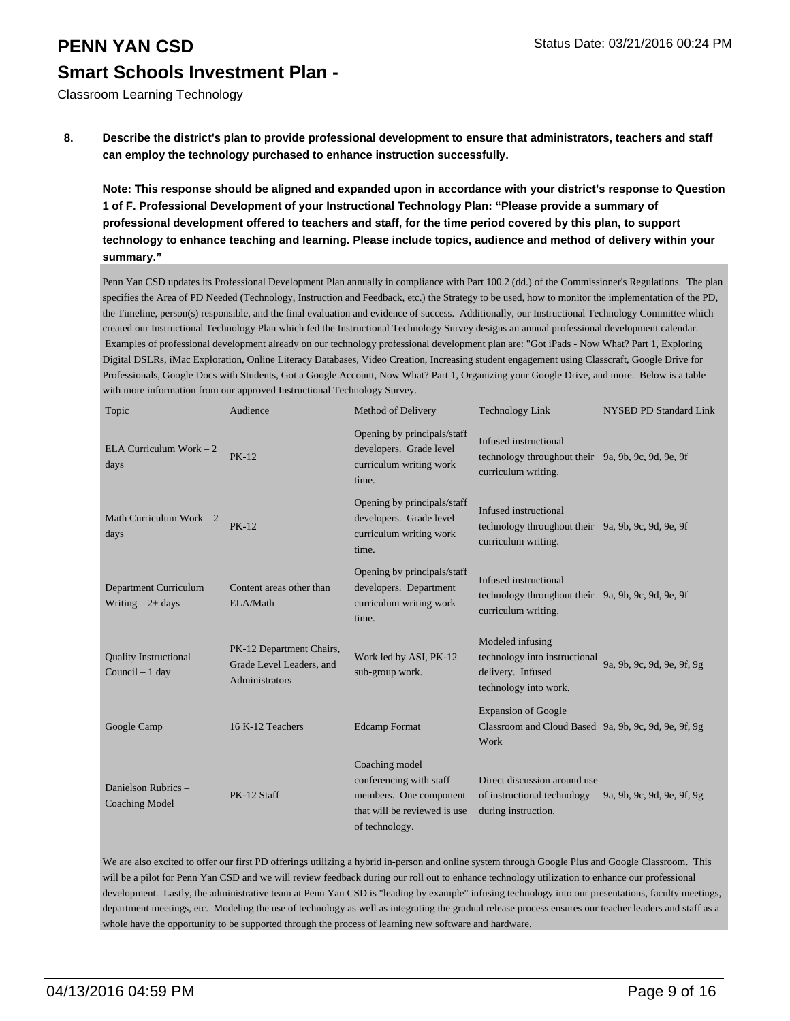Classroom Learning Technology

**8. Describe the district's plan to provide professional development to ensure that administrators, teachers and staff can employ the technology purchased to enhance instruction successfully.**

**Note: This response should be aligned and expanded upon in accordance with your district's response to Question 1 of F. Professional Development of your Instructional Technology Plan: "Please provide a summary of professional development offered to teachers and staff, for the time period covered by this plan, to support technology to enhance teaching and learning. Please include topics, audience and method of delivery within your summary."**

Penn Yan CSD updates its Professional Development Plan annually in compliance with Part 100.2 (dd.) of the Commissioner's Regulations. The plan specifies the Area of PD Needed (Technology, Instruction and Feedback, etc.) the Strategy to be used, how to monitor the implementation of the PD, the Timeline, person(s) responsible, and the final evaluation and evidence of success. Additionally, our Instructional Technology Committee which created our Instructional Technology Plan which fed the Instructional Technology Survey designs an annual professional development calendar. Examples of professional development already on our technology professional development plan are: "Got iPads - Now What? Part 1, Exploring Digital DSLRs, iMac Exploration, Online Literacy Databases, Video Creation, Increasing student engagement using Classcraft, Google Drive for Professionals, Google Docs with Students, Got a Google Account, Now What? Part 1, Organizing your Google Drive, and more. Below is a table with more information from our approved Instructional Technology Survey.

| Topic                                              | Audience                                                               | Method of Delivery                                                                                                    | <b>Technology Link</b>                                                                                        | <b>NYSED PD Standard Link</b> |
|----------------------------------------------------|------------------------------------------------------------------------|-----------------------------------------------------------------------------------------------------------------------|---------------------------------------------------------------------------------------------------------------|-------------------------------|
| ELA Curriculum Work $-2$<br>days                   | <b>PK-12</b>                                                           | Opening by principals/staff<br>developers. Grade level<br>curriculum writing work<br>time.                            | Infused instructional<br>technology throughout their 9a, 9b, 9c, 9d, 9e, 9f<br>curriculum writing.            |                               |
| Math Curriculum Work $-2$<br>days                  | $PK-12$                                                                | Opening by principals/staff<br>developers. Grade level<br>curriculum writing work<br>time.                            | Infused instructional<br>technology throughout their 9a, 9b, 9c, 9d, 9e, 9f<br>curriculum writing.            |                               |
| <b>Department Curriculum</b><br>Writing $-2+$ days | Content areas other than<br>ELA/Math                                   | Opening by principals/staff<br>developers. Department<br>curriculum writing work<br>time.                             | Infused instructional<br>technology throughout their 9a, 9b, 9c, 9d, 9e, 9f<br>curriculum writing.            |                               |
| <b>Quality Instructional</b><br>Council $-1$ day   | PK-12 Department Chairs,<br>Grade Level Leaders, and<br>Administrators | Work led by ASI, PK-12<br>sub-group work.                                                                             | Modeled infusing<br>technology into instructional<br>delivery. Infused<br>technology into work.               | 9a. 9b. 9c. 9d. 9e. 9f. 9g    |
| Google Camp                                        | 16 K-12 Teachers                                                       | <b>Edcamp Format</b>                                                                                                  | <b>Expansion of Google</b><br>Classroom and Cloud Based 9a, 9b, 9c, 9d, 9e, 9f, 9g<br>Work                    |                               |
| Danielson Rubrics -<br><b>Coaching Model</b>       | PK-12 Staff                                                            | Coaching model<br>conferencing with staff<br>members. One component<br>that will be reviewed is use<br>of technology. | Direct discussion around use<br>of instructional technology 9a, 9b, 9c, 9d, 9e, 9f, 9g<br>during instruction. |                               |

We are also excited to offer our first PD offerings utilizing a hybrid in-person and online system through Google Plus and Google Classroom. This will be a pilot for Penn Yan CSD and we will review feedback during our roll out to enhance technology utilization to enhance our professional development. Lastly, the administrative team at Penn Yan CSD is "leading by example" infusing technology into our presentations, faculty meetings, department meetings, etc. Modeling the use of technology as well as integrating the gradual release process ensures our teacher leaders and staff as a whole have the opportunity to be supported through the process of learning new software and hardware.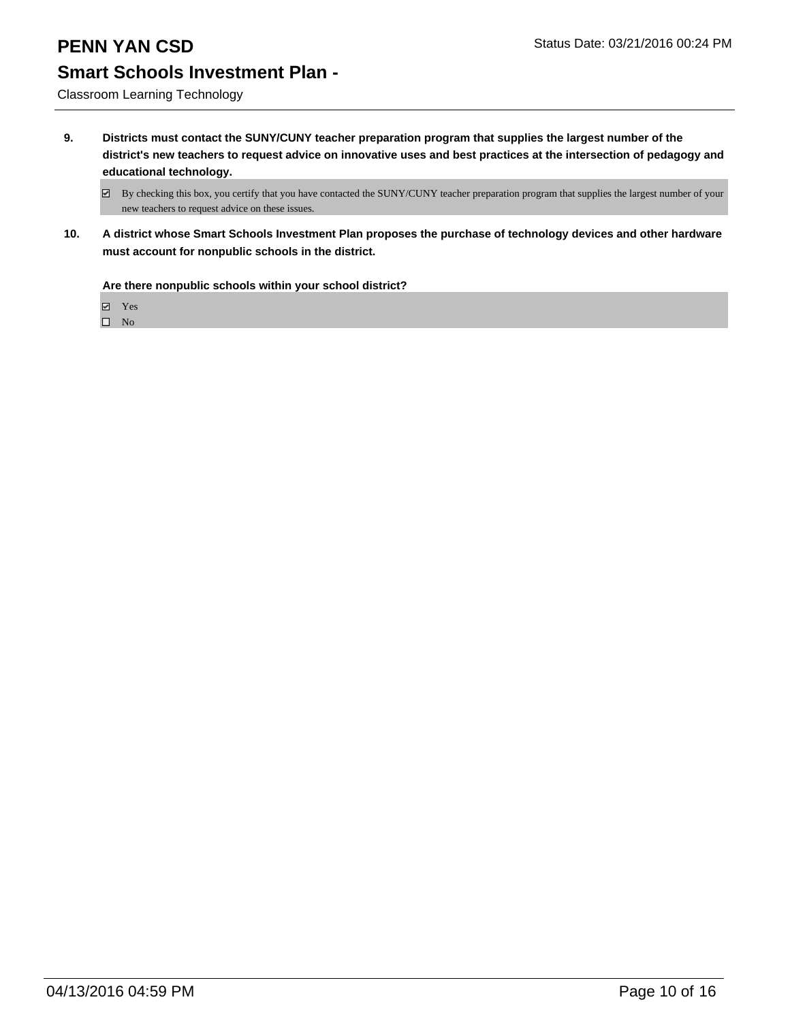Classroom Learning Technology

**9. Districts must contact the SUNY/CUNY teacher preparation program that supplies the largest number of the district's new teachers to request advice on innovative uses and best practices at the intersection of pedagogy and educational technology.**

**10. A district whose Smart Schools Investment Plan proposes the purchase of technology devices and other hardware must account for nonpublic schools in the district.**

**Are there nonpublic schools within your school district?**

Yes

 $\boxtimes$  By checking this box, you certify that you have contacted the SUNY/CUNY teacher preparation program that supplies the largest number of your new teachers to request advice on these issues.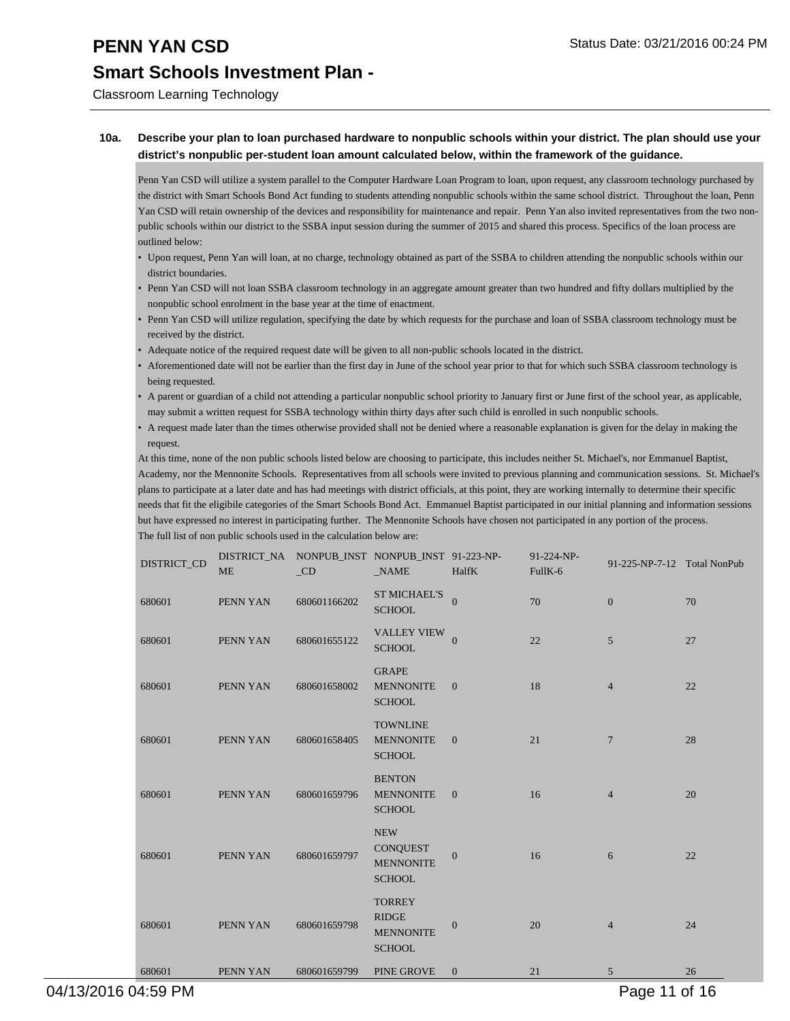Classroom Learning Technology

#### **10a. Describe your plan to loan purchased hardware to nonpublic schools within your district. The plan should use your district's nonpublic per-student loan amount calculated below, within the framework of the guidance.**

Penn Yan CSD will utilize a system parallel to the Computer Hardware Loan Program to loan, upon request, any classroom technology purchased by the district with Smart Schools Bond Act funding to students attending nonpublic schools within the same school district. Throughout the loan, Penn Yan CSD will retain ownership of the devices and responsibility for maintenance and repair. Penn Yan also invited representatives from the two nonpublic schools within our district to the SSBA input session during the summer of 2015 and shared this process. Specifics of the loan process are outlined below:

- Upon request, Penn Yan will loan, at no charge, technology obtained as part of the SSBA to children attending the nonpublic schools within our district boundaries.
- Penn Yan CSD will not loan SSBA classroom technology in an aggregate amount greater than two hundred and fifty dollars multiplied by the nonpublic school enrolment in the base year at the time of enactment. •
- Penn Yan CSD will utilize regulation, specifying the date by which requests for the purchase and loan of SSBA classroom technology must be received by the district. •
- Adequate notice of the required request date will be given to all non-public schools located in the district.
- Aforementioned date will not be earlier than the first day in June of the school year prior to that for which such SSBA classroom technology is being requested. •
- A parent or guardian of a child not attending a particular nonpublic school priority to January first or June first of the school year, as applicable, may submit a written request for SSBA technology within thirty days after such child is enrolled in such nonpublic schools. •
- A request made later than the times otherwise provided shall not be denied where a reasonable explanation is given for the delay in making the request. •

At this time, none of the non public schools listed below are choosing to participate, this includes neither St. Michael's, nor Emmanuel Baptist, Academy, nor the Mennonite Schools. Representatives from all schools were invited to previous planning and communication sessions. St. Michael's plans to participate at a later date and has had meetings with district officials, at this point, they are working internally to determine their specific needs that fit the eligibile categories of the Smart Schools Bond Act. Emmanuel Baptist participated in our initial planning and information sessions but have expressed no interest in participating further. The Mennonite Schools have chosen not participated in any portion of the process. The full list of non public schools used in the calculation below are:

| DISTRICT_CD | <b>ME</b> | DISTRICT_NA NONPUB_INST NONPUB_INST 91-223-NP-<br>CD <sub>0</sub> | $_NAME$                                                            | HalfK          | 91-224-NP-<br>FullK-6 | 91-225-NP-7-12 Total NonPub |    |
|-------------|-----------|-------------------------------------------------------------------|--------------------------------------------------------------------|----------------|-----------------------|-----------------------------|----|
| 680601      | PENN YAN  | 680601166202                                                      | <b>ST MICHAEL'S</b><br><b>SCHOOL</b>                               | $\mathbf{0}$   | 70                    | $\boldsymbol{0}$            | 70 |
| 680601      | PENN YAN  | 680601655122                                                      | <b>VALLEY VIEW</b><br><b>SCHOOL</b>                                | $\overline{0}$ | 22                    | $\sqrt{5}$                  | 27 |
| 680601      | PENN YAN  | 680601658002                                                      | <b>GRAPE</b><br><b>MENNONITE</b><br><b>SCHOOL</b>                  | $\overline{0}$ | 18                    | $\overline{4}$              | 22 |
| 680601      | PENN YAN  | 680601658405                                                      | <b>TOWNLINE</b><br><b>MENNONITE</b><br><b>SCHOOL</b>               | $\overline{0}$ | 21                    | 7                           | 28 |
| 680601      | PENN YAN  | 680601659796                                                      | <b>BENTON</b><br><b>MENNONITE</b><br><b>SCHOOL</b>                 | $\overline{0}$ | 16                    | $\overline{4}$              | 20 |
| 680601      | PENN YAN  | 680601659797                                                      | <b>NEW</b><br><b>CONQUEST</b><br><b>MENNONITE</b><br><b>SCHOOL</b> | $\Omega$       | 16                    | 6                           | 22 |
| 680601      | PENN YAN  | 680601659798                                                      | <b>TORREY</b><br><b>RIDGE</b><br><b>MENNONITE</b><br><b>SCHOOL</b> | $\mathbf{0}$   | 20                    | $\overline{4}$              | 24 |
| 680601      | PENN YAN  | 680601659799                                                      | PINE GROVE                                                         | $\overline{0}$ | 21                    | 5                           | 26 |

04/13/2016 04:59 PM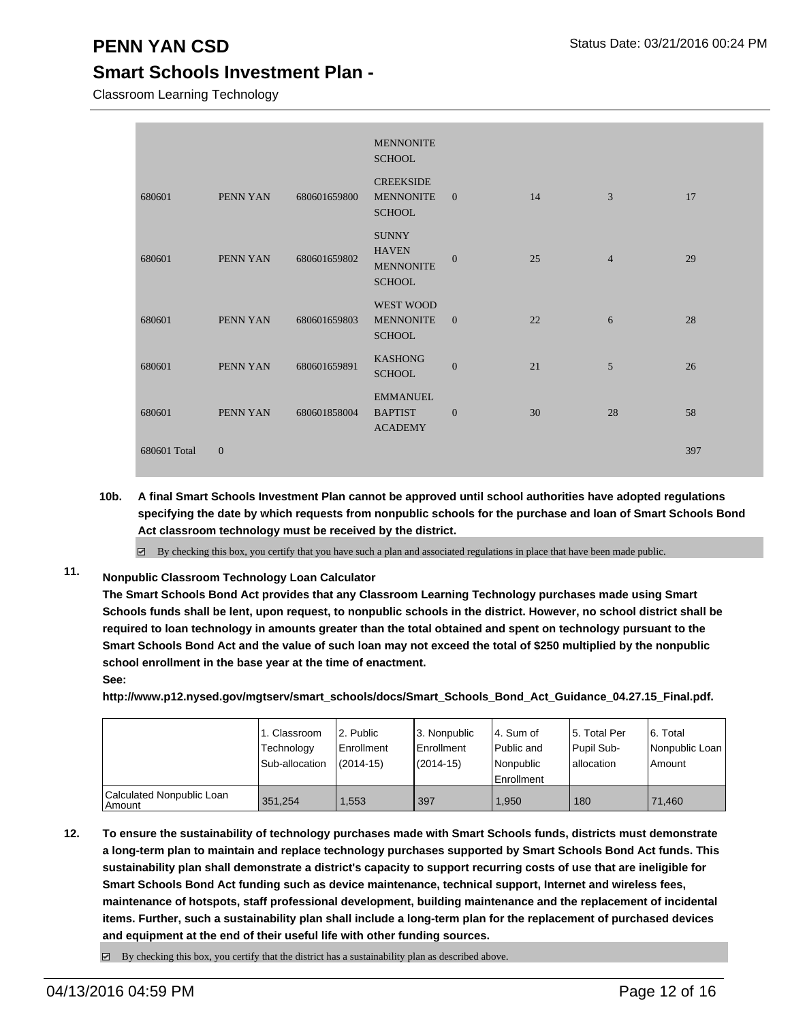Classroom Learning Technology

|              |                |              | <b>MENNONITE</b><br><b>SCHOOL</b>                                 |                |    |                |     |
|--------------|----------------|--------------|-------------------------------------------------------------------|----------------|----|----------------|-----|
| 680601       | PENN YAN       | 680601659800 | <b>CREEKSIDE</b><br><b>MENNONITE</b><br><b>SCHOOL</b>             | $\overline{0}$ | 14 | 3              | 17  |
| 680601       | PENN YAN       | 680601659802 | <b>SUNNY</b><br><b>HAVEN</b><br><b>MENNONITE</b><br><b>SCHOOL</b> | $\mathbf{0}$   | 25 | $\overline{4}$ | 29  |
| 680601       | PENN YAN       | 680601659803 | WEST WOOD<br><b>MENNONITE</b><br><b>SCHOOL</b>                    | $\overline{0}$ | 22 | 6              | 28  |
| 680601       | PENN YAN       | 680601659891 | <b>KASHONG</b><br><b>SCHOOL</b>                                   | $\mathbf{0}$   | 21 | 5              | 26  |
| 680601       | PENN YAN       | 680601858004 | <b>EMMANUEL</b><br><b>BAPTIST</b><br><b>ACADEMY</b>               | $\overline{0}$ | 30 | 28             | 58  |
| 680601 Total | $\overline{0}$ |              |                                                                   |                |    |                | 397 |

**10b. A final Smart Schools Investment Plan cannot be approved until school authorities have adopted regulations specifying the date by which requests from nonpublic schools for the purchase and loan of Smart Schools Bond Act classroom technology must be received by the district.**

 $\boxtimes$  By checking this box, you certify that you have such a plan and associated regulations in place that have been made public.

**11. Nonpublic Classroom Technology Loan Calculator**

**The Smart Schools Bond Act provides that any Classroom Learning Technology purchases made using Smart Schools funds shall be lent, upon request, to nonpublic schools in the district. However, no school district shall be required to loan technology in amounts greater than the total obtained and spent on technology pursuant to the Smart Schools Bond Act and the value of such loan may not exceed the total of \$250 multiplied by the nonpublic school enrollment in the base year at the time of enactment. See:**

**http://www.p12.nysed.gov/mgtserv/smart\_schools/docs/Smart\_Schools\_Bond\_Act\_Guidance\_04.27.15\_Final.pdf.**

|                                     | 1. Classroom<br>Technology<br>Sub-allocation | 2. Public<br>Enrollment<br>$(2014-15)$ | 3. Nonpublic<br><b>Enrollment</b><br>$(2014 - 15)$ | 4. Sum of<br>Public and<br>Nonpublic<br>Enrollment | l 5. Total Per<br>Pupil Sub-<br>lallocation | 6. Total<br>Nonpublic Loan<br>Amount |
|-------------------------------------|----------------------------------------------|----------------------------------------|----------------------------------------------------|----------------------------------------------------|---------------------------------------------|--------------------------------------|
| Calculated Nonpublic Loan<br>Amount | 351.254                                      | .553                                   | 397                                                | 1.950                                              | 180                                         | 71.460                               |

**12. To ensure the sustainability of technology purchases made with Smart Schools funds, districts must demonstrate a long-term plan to maintain and replace technology purchases supported by Smart Schools Bond Act funds. This sustainability plan shall demonstrate a district's capacity to support recurring costs of use that are ineligible for Smart Schools Bond Act funding such as device maintenance, technical support, Internet and wireless fees, maintenance of hotspots, staff professional development, building maintenance and the replacement of incidental items. Further, such a sustainability plan shall include a long-term plan for the replacement of purchased devices and equipment at the end of their useful life with other funding sources.**

 $\Box$  By checking this box, you certify that the district has a sustainability plan as described above.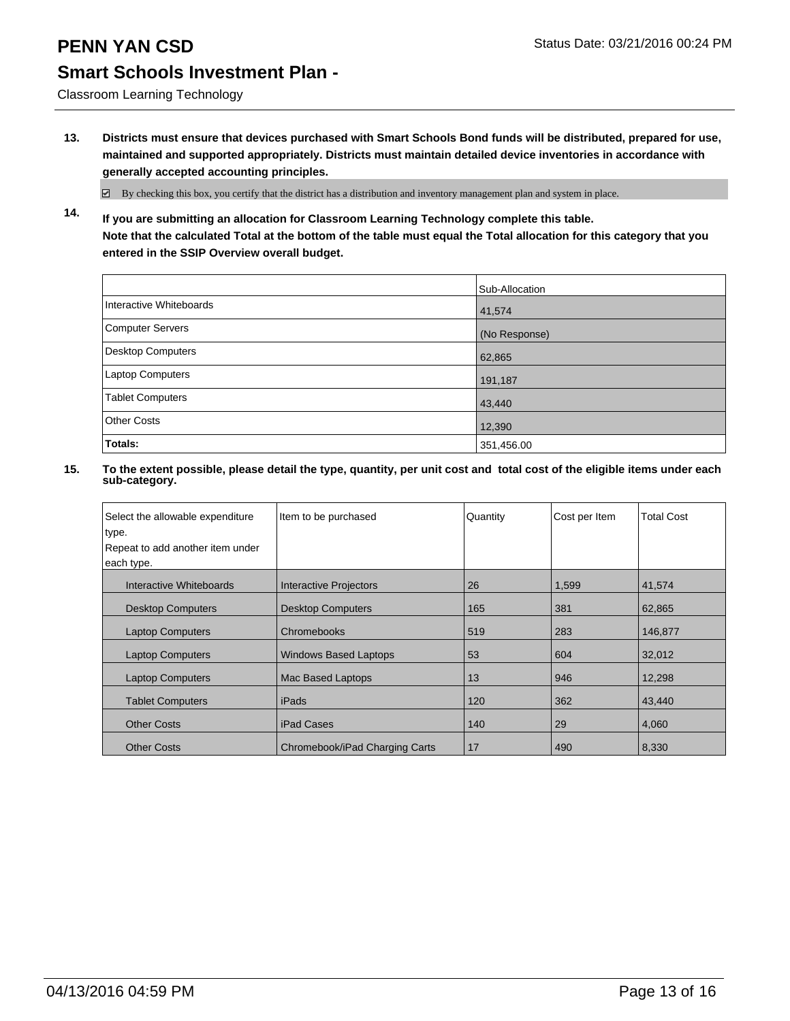Classroom Learning Technology

**13. Districts must ensure that devices purchased with Smart Schools Bond funds will be distributed, prepared for use, maintained and supported appropriately. Districts must maintain detailed device inventories in accordance with generally accepted accounting principles.**

 $\boxtimes$  By checking this box, you certify that the district has a distribution and inventory management plan and system in place.

**14. If you are submitting an allocation for Classroom Learning Technology complete this table. Note that the calculated Total at the bottom of the table must equal the Total allocation for this category that you entered in the SSIP Overview overall budget.**

|                         | Sub-Allocation |
|-------------------------|----------------|
| Interactive Whiteboards | 41,574         |
| Computer Servers        | (No Response)  |
| Desktop Computers       | 62,865         |
| Laptop Computers        | 191,187        |
| Tablet Computers        | 43,440         |
| <b>Other Costs</b>      | 12,390         |
| Totals:                 | 351,456.00     |

| Select the allowable expenditure<br>type.<br>Repeat to add another item under<br>each type. | Item to be purchased           | Quantity | Cost per Item | <b>Total Cost</b> |
|---------------------------------------------------------------------------------------------|--------------------------------|----------|---------------|-------------------|
| Interactive Whiteboards                                                                     | Interactive Projectors         | 26       | 1,599         | 41,574            |
| <b>Desktop Computers</b>                                                                    | <b>Desktop Computers</b>       | 165      | 381           | 62,865            |
| <b>Laptop Computers</b>                                                                     | Chromebooks                    | 519      | 283           | 146,877           |
| <b>Laptop Computers</b>                                                                     | <b>Windows Based Laptops</b>   | 53       | 604           | 32,012            |
| <b>Laptop Computers</b>                                                                     | Mac Based Laptops              | 13       | 946           | 12,298            |
| <b>Tablet Computers</b>                                                                     | iPads                          | 120      | 362           | 43,440            |
| <b>Other Costs</b>                                                                          | <b>iPad Cases</b>              | 140      | 29            | 4,060             |
| <b>Other Costs</b>                                                                          | Chromebook/iPad Charging Carts | 17       | 490           | 8,330             |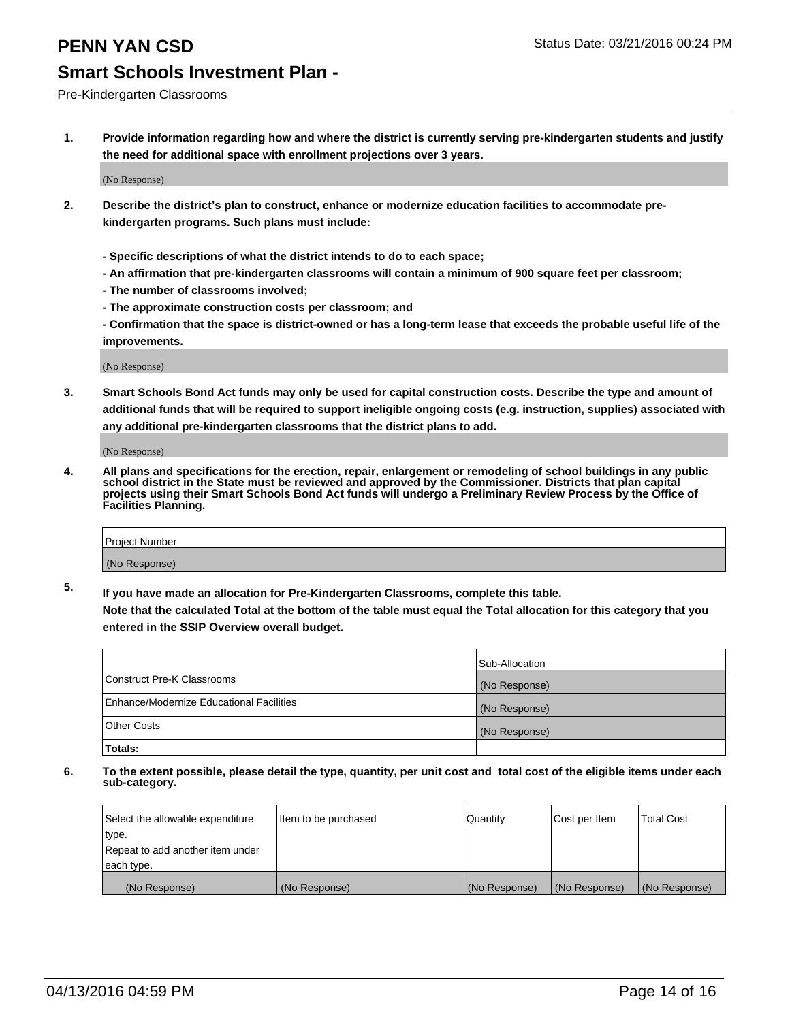## **PENN YAN CSD Status Date: 03/21/2016 00:24 PM**

### **Smart Schools Investment Plan -**

Pre-Kindergarten Classrooms

**1. Provide information regarding how and where the district is currently serving pre-kindergarten students and justify the need for additional space with enrollment projections over 3 years.**

(No Response)

- **2. Describe the district's plan to construct, enhance or modernize education facilities to accommodate prekindergarten programs. Such plans must include:**
	- **Specific descriptions of what the district intends to do to each space;**
	- **An affirmation that pre-kindergarten classrooms will contain a minimum of 900 square feet per classroom;**
	- **The number of classrooms involved;**
	- **The approximate construction costs per classroom; and**
	- **Confirmation that the space is district-owned or has a long-term lease that exceeds the probable useful life of the improvements.**

(No Response)

**3. Smart Schools Bond Act funds may only be used for capital construction costs. Describe the type and amount of additional funds that will be required to support ineligible ongoing costs (e.g. instruction, supplies) associated with any additional pre-kindergarten classrooms that the district plans to add.**

(No Response)

**4. All plans and specifications for the erection, repair, enlargement or remodeling of school buildings in any public school district in the State must be reviewed and approved by the Commissioner. Districts that plan capital projects using their Smart Schools Bond Act funds will undergo a Preliminary Review Process by the Office of Facilities Planning.**

| Project Number |  |
|----------------|--|
| (No Response)  |  |

**5. If you have made an allocation for Pre-Kindergarten Classrooms, complete this table. Note that the calculated Total at the bottom of the table must equal the Total allocation for this category that you**

**entered in the SSIP Overview overall budget.**

| Totals:                                  |                |
|------------------------------------------|----------------|
| Other Costs                              | (No Response)  |
| Enhance/Modernize Educational Facilities | (No Response)  |
| Construct Pre-K Classrooms               | (No Response)  |
|                                          | Sub-Allocation |

| Select the allowable expenditure | Item to be purchased | l Quantitv    | Cost per Item | <b>Total Cost</b> |
|----------------------------------|----------------------|---------------|---------------|-------------------|
| type.                            |                      |               |               |                   |
| Repeat to add another item under |                      |               |               |                   |
| each type.                       |                      |               |               |                   |
| (No Response)                    | (No Response)        | (No Response) | (No Response) | (No Response)     |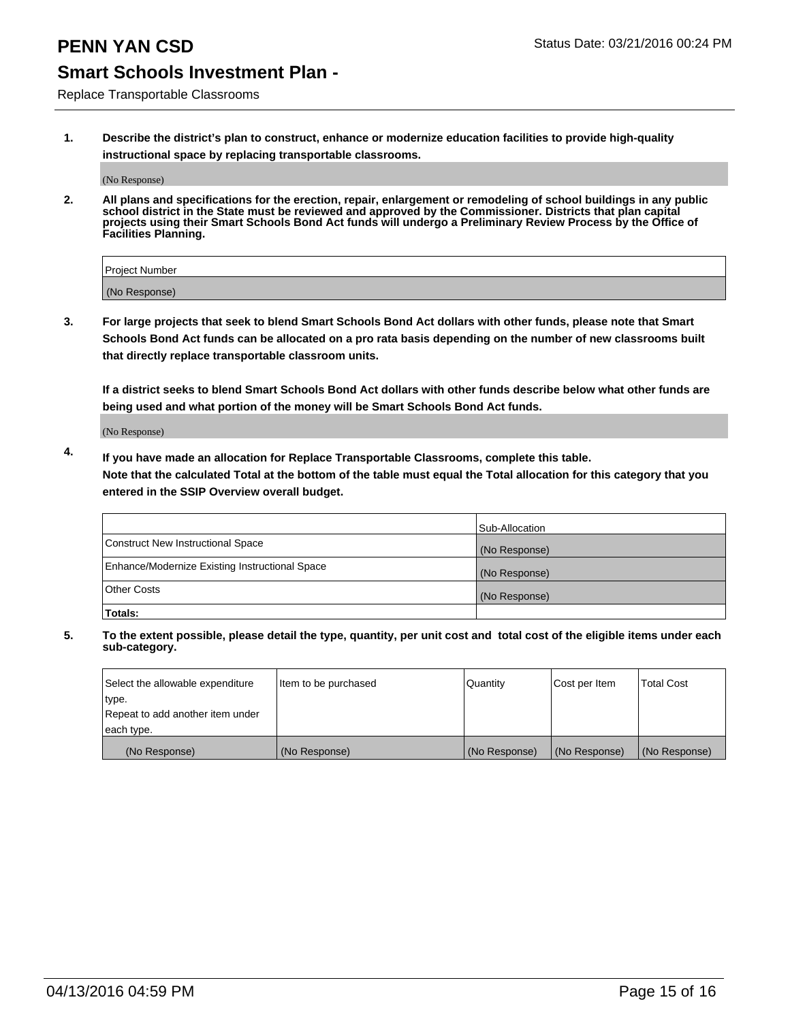Replace Transportable Classrooms

**1. Describe the district's plan to construct, enhance or modernize education facilities to provide high-quality instructional space by replacing transportable classrooms.**

(No Response)

**2. All plans and specifications for the erection, repair, enlargement or remodeling of school buildings in any public school district in the State must be reviewed and approved by the Commissioner. Districts that plan capital projects using their Smart Schools Bond Act funds will undergo a Preliminary Review Process by the Office of Facilities Planning.**

| Project Number |  |
|----------------|--|
|                |  |
| (No Response)  |  |

**3. For large projects that seek to blend Smart Schools Bond Act dollars with other funds, please note that Smart Schools Bond Act funds can be allocated on a pro rata basis depending on the number of new classrooms built that directly replace transportable classroom units.**

**If a district seeks to blend Smart Schools Bond Act dollars with other funds describe below what other funds are being used and what portion of the money will be Smart Schools Bond Act funds.**

(No Response)

**4. If you have made an allocation for Replace Transportable Classrooms, complete this table. Note that the calculated Total at the bottom of the table must equal the Total allocation for this category that you entered in the SSIP Overview overall budget.**

|                                                | Sub-Allocation |
|------------------------------------------------|----------------|
| Construct New Instructional Space              | (No Response)  |
| Enhance/Modernize Existing Instructional Space | (No Response)  |
| <b>Other Costs</b>                             | (No Response)  |
| Totals:                                        |                |

| Select the allowable expenditure | Item to be purchased | Quantity      | Cost per Item | <b>Total Cost</b> |
|----------------------------------|----------------------|---------------|---------------|-------------------|
| type.                            |                      |               |               |                   |
| Repeat to add another item under |                      |               |               |                   |
| each type.                       |                      |               |               |                   |
| (No Response)                    | (No Response)        | (No Response) | (No Response) | (No Response)     |